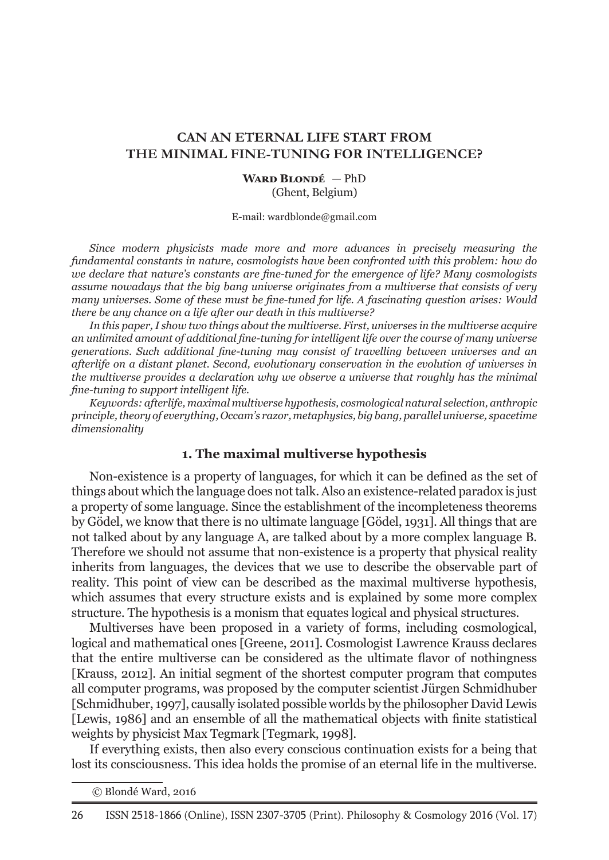# **CAN AN ETERNAL LIFE START FROM THE MINIMAL FINE-TUNING FOR INTELLIGENCE?**

#### **Ward Blondé<sup>6</sup>** — PhD (Ghent, Belgium)

#### E-mail: wardblonde@gmail.com

*Since modern physicists made more and more advances in precisely measuring the fundamental constants in nature, cosmologists have been confronted with this problem: how do we declare that nature's constants are fine-tuned for the emergence of life? Many cosmologists assume nowadays that the big bang universe originates from a multiverse that consists of very many universes. Some of these must be fine-tuned for life. A fascinating question arises: Would there be any chance on a life after our death in this multiverse?*

*In this paper, I show two things about the multiverse. First, universes in the multiverse acquire an unlimited amount of additional fine-tuning for intelligent life over the course of many universe generations. Such additional fine-tuning may consist of travelling between universes and an afterlife on a distant planet. Second, evolutionary conservation in the evolution of universes in the multiverse provides a declaration why we observe a universe that roughly has the minimal fine-tuning to support intelligent life.*

*Keywords: afterlife, maximal multiverse hypothesis, cosmological natural selection, anthropic principle, theory of everything, Occam's razor, metaphysics, big bang, parallel universe, spacetime dimensionality* 

## **1. The maximal multiverse hypothesis**

Non-existence is a property of languages, for which it can be defined as the set of things about which the language does not talk. Also an existence-related paradox is just a property of some language. Since the establishment of the incompleteness theorems by Gödel, we know that there is no ultimate language [Gödel, 1931]. All things that are not talked about by any language A, are talked about by a more complex language B. Therefore we should not assume that non-existence is a property that physical reality inherits from languages, the devices that we use to describe the observable part of reality. This point of view can be described as the maximal multiverse hypothesis, which assumes that every structure exists and is explained by some more complex structure. The hypothesis is a monism that equates logical and physical structures.

Multiverses have been proposed in a variety of forms, including cosmological, logical and mathematical ones [Greene, 2011]. Cosmologist Lawrence Krauss declares that the entire multiverse can be considered as the ultimate flavor of nothingness [Krauss, 2012]. An initial segment of the shortest computer program that computes all computer programs, was proposed by the computer scientist Jürgen Schmidhuber [Schmidhuber, 1997], causally isolated possible worlds by the philosopher David Lewis [Lewis, 1986] and an ensemble of all the mathematical objects with finite statistical weights by physicist Max Tegmark [Tegmark, 1998].

If everything exists, then also every conscious continuation exists for a being that lost its consciousness. This idea holds the promise of an eternal life in the multiverse.

 <sup>©</sup> Blondé Ward, 2016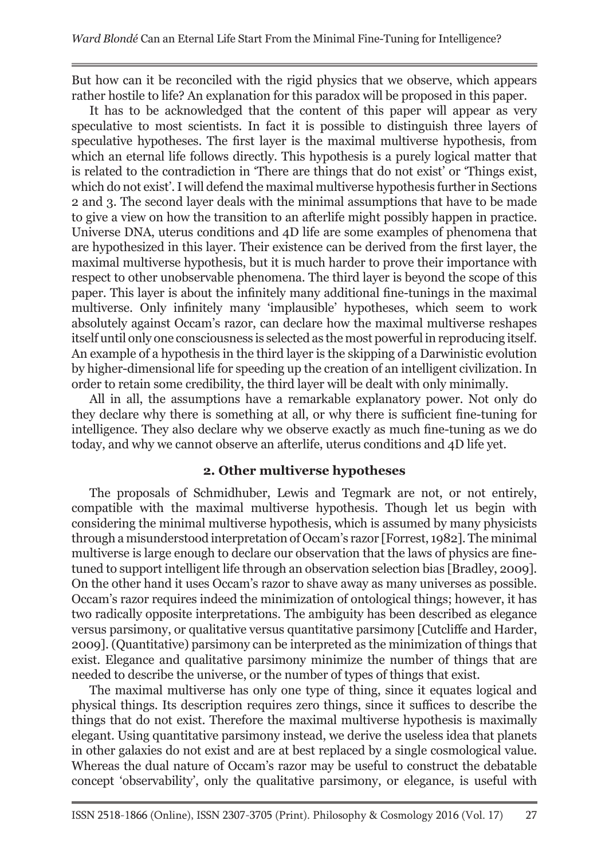But how can it be reconciled with the rigid physics that we observe, which appears rather hostile to life? An explanation for this paradox will be proposed in this paper.

It has to be acknowledged that the content of this paper will appear as very speculative to most scientists. In fact it is possible to distinguish three layers of speculative hypotheses. The first layer is the maximal multiverse hypothesis, from which an eternal life follows directly. This hypothesis is a purely logical matter that is related to the contradiction in 'There are things that do not exist' or 'Things exist, which do not exist'. I will defend the maximal multiverse hypothesis further in Sections 2 and 3. The second layer deals with the minimal assumptions that have to be made to give a view on how the transition to an afterlife might possibly happen in practice. Universe DNA, uterus conditions and 4D life are some examples of phenomena that are hypothesized in this layer. Their existence can be derived from the first layer, the maximal multiverse hypothesis, but it is much harder to prove their importance with respect to other unobservable phenomena. The third layer is beyond the scope of this paper. This layer is about the infinitely many additional fine-tunings in the maximal multiverse. Only infinitely many 'implausible' hypotheses, which seem to work absolutely against Occam's razor, can declare how the maximal multiverse reshapes itself until only one consciousness is selected as the most powerful in reproducing itself. An example of a hypothesis in the third layer is the skipping of a Darwinistic evolution by higher-dimensional life for speeding up the creation of an intelligent civilization. In order to retain some credibility, the third layer will be dealt with only minimally.

All in all, the assumptions have a remarkable explanatory power. Not only do they declare why there is something at all, or why there is sufficient fine-tuning for intelligence. They also declare why we observe exactly as much fine-tuning as we do today, and why we cannot observe an afterlife, uterus conditions and 4D life yet.

# **2. Other multiverse hypotheses**

The proposals of Schmidhuber, Lewis and Tegmark are not, or not entirely, compatible with the maximal multiverse hypothesis. Though let us begin with considering the minimal multiverse hypothesis, which is assumed by many physicists through a misunderstood interpretation of Occam's razor [Forrest, 1982]. The minimal multiverse is large enough to declare our observation that the laws of physics are finetuned to support intelligent life through an observation selection bias [Bradley, 2009]. On the other hand it uses Occam's razor to shave away as many universes as possible. Occam's razor requires indeed the minimization of ontological things; however, it has two radically opposite interpretations. The ambiguity has been described as elegance versus parsimony, or qualitative versus quantitative parsimony [Cutcliffe and Harder, 2009]. (Quantitative) parsimony can be interpreted as the minimization of things that exist. Elegance and qualitative parsimony minimize the number of things that are needed to describe the universe, or the number of types of things that exist.

The maximal multiverse has only one type of thing, since it equates logical and physical things. Its description requires zero things, since it suffices to describe the things that do not exist. Therefore the maximal multiverse hypothesis is maximally elegant. Using quantitative parsimony instead, we derive the useless idea that planets in other galaxies do not exist and are at best replaced by a single cosmological value. Whereas the dual nature of Occam's razor may be useful to construct the debatable concept 'observability', only the qualitative parsimony, or elegance, is useful with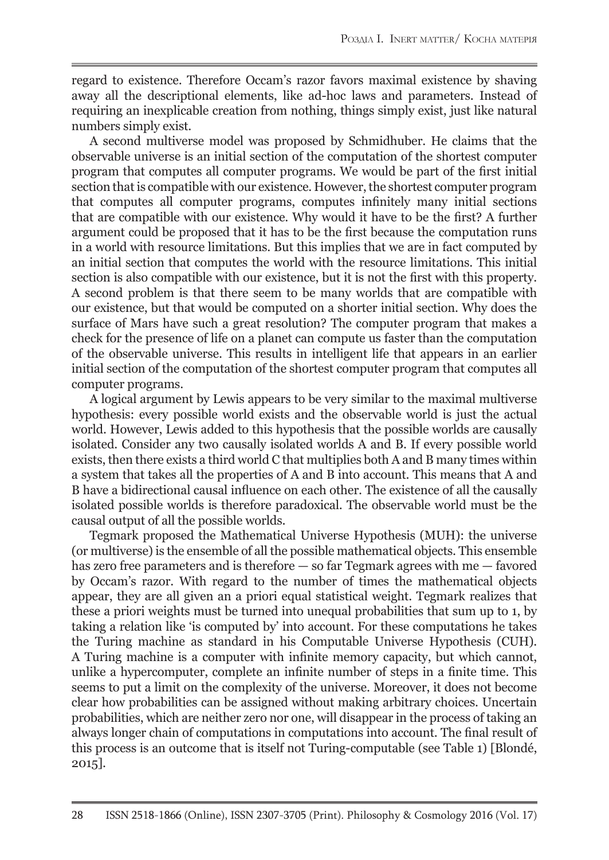regard to existence. Therefore Occam's razor favors maximal existence by shaving away all the descriptional elements, like ad-hoc laws and parameters. Instead of requiring an inexplicable creation from nothing, things simply exist, just like natural numbers simply exist.

A second multiverse model was proposed by Schmidhuber. He claims that the observable universe is an initial section of the computation of the shortest computer program that computes all computer programs. We would be part of the first initial section that is compatible with our existence. However, the shortest computer program that computes all computer programs, computes infinitely many initial sections that are compatible with our existence. Why would it have to be the first? A further argument could be proposed that it has to be the first because the computation runs in a world with resource limitations. But this implies that we are in fact computed by an initial section that computes the world with the resource limitations. This initial section is also compatible with our existence, but it is not the first with this property. A second problem is that there seem to be many worlds that are compatible with our existence, but that would be computed on a shorter initial section. Why does the surface of Mars have such a great resolution? The computer program that makes a check for the presence of life on a planet can compute us faster than the computation of the observable universe. This results in intelligent life that appears in an earlier initial section of the computation of the shortest computer program that computes all computer programs.

A logical argument by Lewis appears to be very similar to the maximal multiverse hypothesis: every possible world exists and the observable world is just the actual world. However, Lewis added to this hypothesis that the possible worlds are causally isolated. Consider any two causally isolated worlds A and B. If every possible world exists, then there exists a third world C that multiplies both A and B many times within a system that takes all the properties of A and B into account. This means that A and B have a bidirectional causal influence on each other. The existence of all the causally isolated possible worlds is therefore paradoxical. The observable world must be the causal output of all the possible worlds.

Tegmark proposed the Mathematical Universe Hypothesis (MUH): the universe (or multiverse) is the ensemble of all the possible mathematical objects. This ensemble has zero free parameters and is therefore — so far Tegmark agrees with me — favored by Occam's razor. With regard to the number of times the mathematical objects appear, they are all given an a priori equal statistical weight. Tegmark realizes that these a priori weights must be turned into unequal probabilities that sum up to 1, by taking a relation like 'is computed by' into account. For these computations he takes the Turing machine as standard in his Computable Universe Hypothesis (CUH). A Turing machine is a computer with infinite memory capacity, but which cannot, unlike a hypercomputer, complete an infinite number of steps in a finite time. This seems to put a limit on the complexity of the universe. Moreover, it does not become clear how probabilities can be assigned without making arbitrary choices. Uncertain probabilities, which are neither zero nor one, will disappear in the process of taking an always longer chain of computations in computations into account. The final result of this process is an outcome that is itself not Turing-computable (see Table 1) [Blondé, 2015].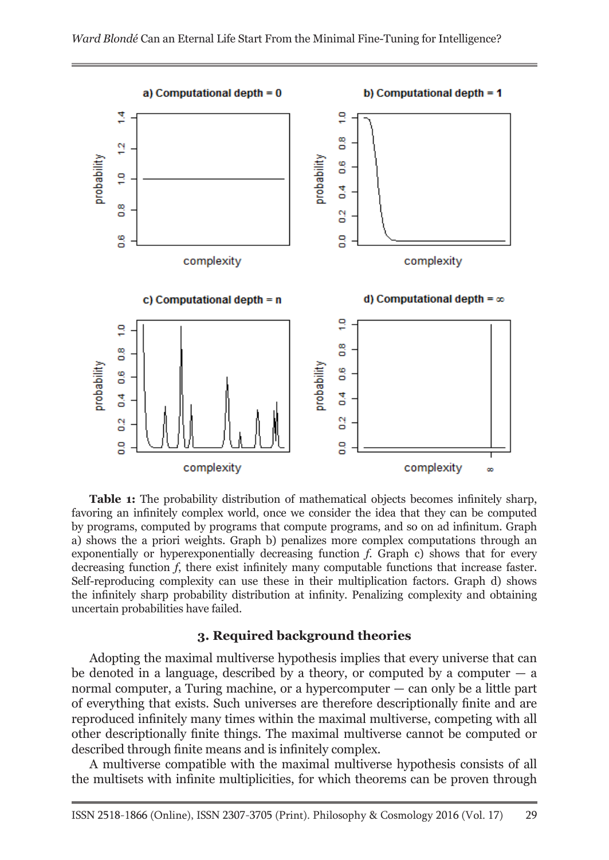

**Table 1:** The probability distribution of mathematical objects becomes infinitely sharp, favoring an infinitely complex world, once we consider the idea that they can be computed by programs, computed by programs that compute programs, and so on ad infinitum. Graph a) shows the a priori weights. Graph b) penalizes more complex computations through an exponentially or hyperexponentially decreasing function *f*. Graph c) shows that for every decreasing function *f*, there exist infinitely many computable functions that increase faster. Self-reproducing complexity can use these in their multiplication factors. Graph d) shows the infinitely sharp probability distribution at infinity. Penalizing complexity and obtaining uncertain probabilities have failed.

## **3. Required background theories**

Adopting the maximal multiverse hypothesis implies that every universe that can be denoted in a language, described by a theory, or computed by a computer  $-$  a normal computer, a Turing machine, or a hypercomputer — can only be a little part of everything that exists. Such universes are therefore descriptionally finite and are reproduced infinitely many times within the maximal multiverse, competing with all other descriptionally finite things. The maximal multiverse cannot be computed or described through finite means and is infinitely complex.

A multiverse compatible with the maximal multiverse hypothesis consists of all the multisets with infinite multiplicities, for which theorems can be proven through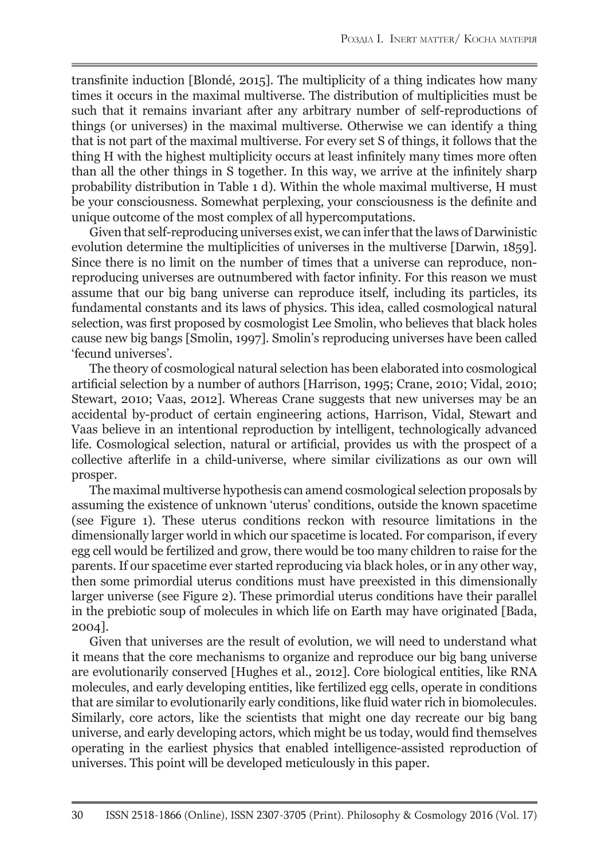transfinite induction [Blondé, 2015]. The multiplicity of a thing indicates how many times it occurs in the maximal multiverse. The distribution of multiplicities must be such that it remains invariant after any arbitrary number of self-reproductions of things (or universes) in the maximal multiverse. Otherwise we can identify a thing that is not part of the maximal multiverse. For every set S of things, it follows that the thing H with the highest multiplicity occurs at least infinitely many times more often than all the other things in S together. In this way, we arrive at the infinitely sharp probability distribution in Table 1 d). Within the whole maximal multiverse, H must be your consciousness. Somewhat perplexing, your consciousness is the definite and unique outcome of the most complex of all hypercomputations.

Given that self-reproducing universes exist, we can infer that the laws of Darwinistic evolution determine the multiplicities of universes in the multiverse [Darwin, 1859]. Since there is no limit on the number of times that a universe can reproduce, nonreproducing universes are outnumbered with factor infinity. For this reason we must assume that our big bang universe can reproduce itself, including its particles, its fundamental constants and its laws of physics. This idea, called cosmological natural selection, was first proposed by cosmologist Lee Smolin, who believes that black holes cause new big bangs [Smolin, 1997]. Smolin's reproducing universes have been called 'fecund universes'.

The theory of cosmological natural selection has been elaborated into cosmological artificial selection by a number of authors [Harrison, 1995; Crane, 2010; Vidal, 2010; Stewart, 2010; Vaas, 2012]. Whereas Crane suggests that new universes may be an accidental by-product of certain engineering actions, Harrison, Vidal, Stewart and Vaas believe in an intentional reproduction by intelligent, technologically advanced life. Cosmological selection, natural or artificial, provides us with the prospect of a collective afterlife in a child-universe, where similar civilizations as our own will prosper.

The maximal multiverse hypothesis can amend cosmological selection proposals by assuming the existence of unknown 'uterus' conditions, outside the known spacetime (see Figure 1). These uterus conditions reckon with resource limitations in the dimensionally larger world in which our spacetime is located. For comparison, if every egg cell would be fertilized and grow, there would be too many children to raise for the parents. If our spacetime ever started reproducing via black holes, or in any other way, then some primordial uterus conditions must have preexisted in this dimensionally larger universe (see Figure 2). These primordial uterus conditions have their parallel in the prebiotic soup of molecules in which life on Earth may have originated [Bada, 2004].

Given that universes are the result of evolution, we will need to understand what it means that the core mechanisms to organize and reproduce our big bang universe are evolutionarily conserved [Hughes et al., 2012]. Core biological entities, like RNA molecules, and early developing entities, like fertilized egg cells, operate in conditions that are similar to evolutionarily early conditions, like fluid water rich in biomolecules. Similarly, core actors, like the scientists that might one day recreate our big bang universe, and early developing actors, which might be us today, would find themselves operating in the earliest physics that enabled intelligence-assisted reproduction of universes. This point will be developed meticulously in this paper.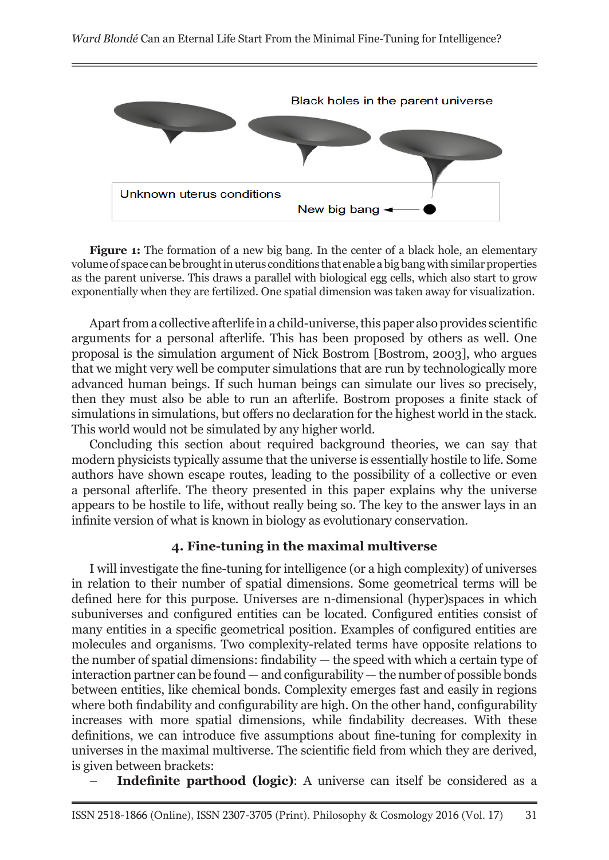

**Figure 1:** The formation of a new big bang. In the center of a black hole, an elementary volume of space can be brought in uterus conditions that enable a big bang with similar properties as the parent universe. This draws a parallel with biological egg cells, which also start to grow exponentially when they are fertilized. One spatial dimension was taken away for visualization.

Apart from a collective afterlife in a child-universe, this paper also provides scientific arguments for a personal afterlife. This has been proposed by others as well. One proposal is the simulation argument of Nick Bostrom [Bostrom, 2003], who argues that we might very well be computer simulations that are run by technologically more advanced human beings. If such human beings can simulate our lives so precisely, then they must also be able to run an afterlife. Bostrom proposes a finite stack of simulations in simulations, but offers no declaration for the highest world in the stack. This world would not be simulated by any higher world.

Concluding this section about required background theories, we can say that modern physicists typically assume that the universe is essentially hostile to life. Some authors have shown escape routes, leading to the possibility of a collective or even a personal afterlife. The theory presented in this paper explains why the universe appears to be hostile to life, without really being so. The key to the answer lays in an infinite version of what is known in biology as evolutionary conservation.

# **4. Fine-tuning in the maximal multiverse**

I will investigate the fine-tuning for intelligence (or a high complexity) of universes in relation to their number of spatial dimensions. Some geometrical terms will be defined here for this purpose. Universes are n-dimensional (hyper)spaces in which subuniverses and configured entities can be located. Configured entities consist of many entities in a specific geometrical position. Examples of configured entities are molecules and organisms. Two complexity-related terms have opposite relations to the number of spatial dimensions: findability — the speed with which a certain type of interaction partner can be found — and configurability — the number of possible bonds between entities, like chemical bonds. Complexity emerges fast and easily in regions where both findability and configurability are high. On the other hand, configurability increases with more spatial dimensions, while findability decreases. With these definitions, we can introduce five assumptions about fine-tuning for complexity in universes in the maximal multiverse. The scientific field from which they are derived, is given between brackets:

– **Indefinite parthood (logic)**: A universe can itself be considered as a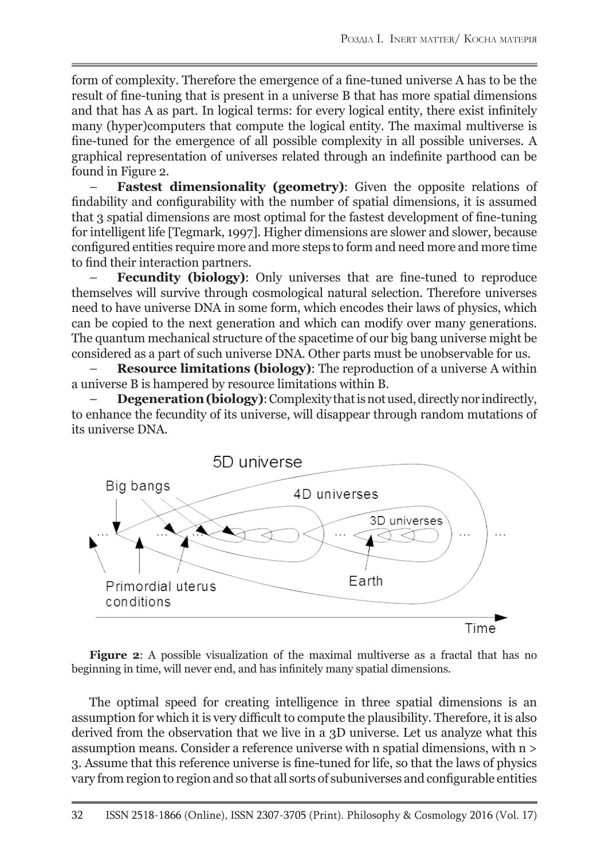form of complexity. Therefore the emergence of a fine-tuned universe A has to be the result of fine-tuning that is present in a universe B that has more spatial dimensions and that has A as part. In logical terms: for every logical entity, there exist infinitely many (hyper)computers that compute the logical entity. The maximal multiverse is fine-tuned for the emergence of all possible complexity in all possible universes. A graphical representation of universes related through an indefinite parthood can be found in Figure 2.

– **Fastest dimensionality (geometry)**: Given the opposite relations of findability and configurability with the number of spatial dimensions, it is assumed that 3 spatial dimensions are most optimal for the fastest development of fine-tuning for intelligent life [Tegmark, 1997]. Higher dimensions are slower and slower, because configured entities require more and more steps to form and need more and more time to find their interaction partners.

– **Fecundity (biology)**: Only universes that are fine-tuned to reproduce themselves will survive through cosmological natural selection. Therefore universes need to have universe DNA in some form, which encodes their laws of physics, which can be copied to the next generation and which can modify over many generations. The quantum mechanical structure of the spacetime of our big bang universe might be considered as a part of such universe DNA. Other parts must be unobservable for us.

– **Resource limitations (biology)**: The reproduction of a universe A within a universe B is hampered by resource limitations within B.

– **Degeneration (biology)**: Complexity that is not used, directly nor indirectly, to enhance the fecundity of its universe, will disappear through random mutations of its universe DNA.



**Figure 2**: A possible visualization of the maximal multiverse as a fractal that has no beginning in time, will never end, and has infinitely many spatial dimensions.

The optimal speed for creating intelligence in three spatial dimensions is an assumption for which it is very difficult to compute the plausibility. Therefore, it is also derived from the observation that we live in a 3D universe. Let us analyze what this assumption means. Consider a reference universe with n spatial dimensions, with n > 3. Assume that this reference universe is fine-tuned for life, so that the laws of physics vary from region to region and so that all sorts of subuniverses and configurable entities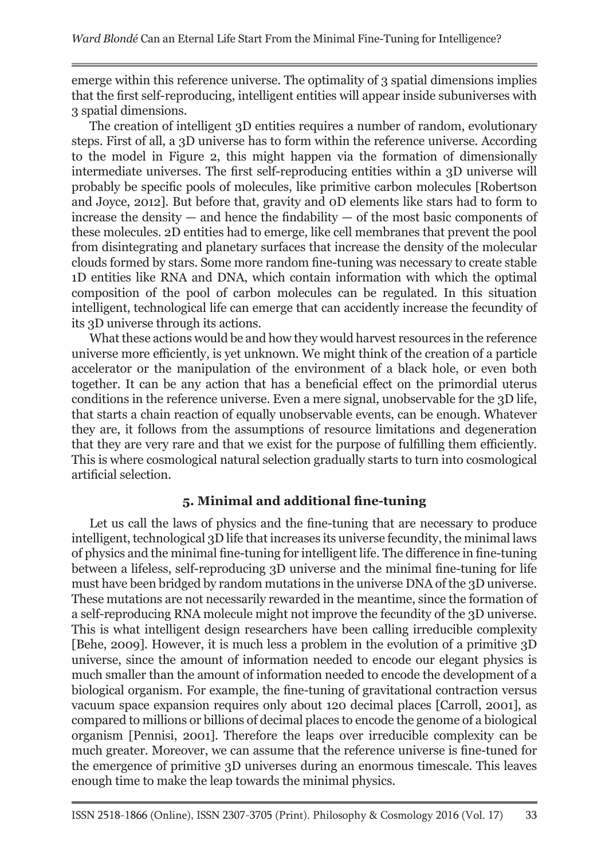emerge within this reference universe. The optimality of 3 spatial dimensions implies that the first self-reproducing, intelligent entities will appear inside subuniverses with 3 spatial dimensions.

The creation of intelligent 3D entities requires a number of random, evolutionary steps. First of all, a 3D universe has to form within the reference universe. According to the model in Figure 2, this might happen via the formation of dimensionally intermediate universes. The first self-reproducing entities within a 3D universe will probably be specific pools of molecules, like primitive carbon molecules [Robertson and Joyce, 2012]. But before that, gravity and 0D elements like stars had to form to increase the density  $-$  and hence the findability  $-$  of the most basic components of these molecules. 2D entities had to emerge, like cell membranes that prevent the pool from disintegrating and planetary surfaces that increase the density of the molecular clouds formed by stars. Some more random fine-tuning was necessary to create stable 1D entities like RNA and DNA, which contain information with which the optimal composition of the pool of carbon molecules can be regulated. In this situation intelligent, technological life can emerge that can accidently increase the fecundity of its 3D universe through its actions.

What these actions would be and how they would harvest resources in the reference universe more efficiently, is yet unknown. We might think of the creation of a particle accelerator or the manipulation of the environment of a black hole, or even both together. It can be any action that has a beneficial effect on the primordial uterus conditions in the reference universe. Even a mere signal, unobservable for the 3D life, that starts a chain reaction of equally unobservable events, can be enough. Whatever they are, it follows from the assumptions of resource limitations and degeneration that they are very rare and that we exist for the purpose of fulfilling them efficiently. This is where cosmological natural selection gradually starts to turn into cosmological artificial selection.

# **5. Minimal and additional fine-tuning**

Let us call the laws of physics and the fine-tuning that are necessary to produce intelligent, technological 3D life that increases its universe fecundity, the minimal laws of physics and the minimal fine-tuning for intelligent life. The difference in fine-tuning between a lifeless, self-reproducing 3D universe and the minimal fine-tuning for life must have been bridged by random mutations in the universe DNA of the 3D universe. These mutations are not necessarily rewarded in the meantime, since the formation of a self-reproducing RNA molecule might not improve the fecundity of the 3D universe. This is what intelligent design researchers have been calling irreducible complexity [Behe, 2009]. However, it is much less a problem in the evolution of a primitive 3D universe, since the amount of information needed to encode our elegant physics is much smaller than the amount of information needed to encode the development of a biological organism. For example, the fine-tuning of gravitational contraction versus vacuum space expansion requires only about 120 decimal places [Carroll, 2001], as compared to millions or billions of decimal places to encode the genome of a biological organism [Pennisi, 2001]. Therefore the leaps over irreducible complexity can be much greater. Moreover, we can assume that the reference universe is fine-tuned for the emergence of primitive 3D universes during an enormous timescale. This leaves enough time to make the leap towards the minimal physics.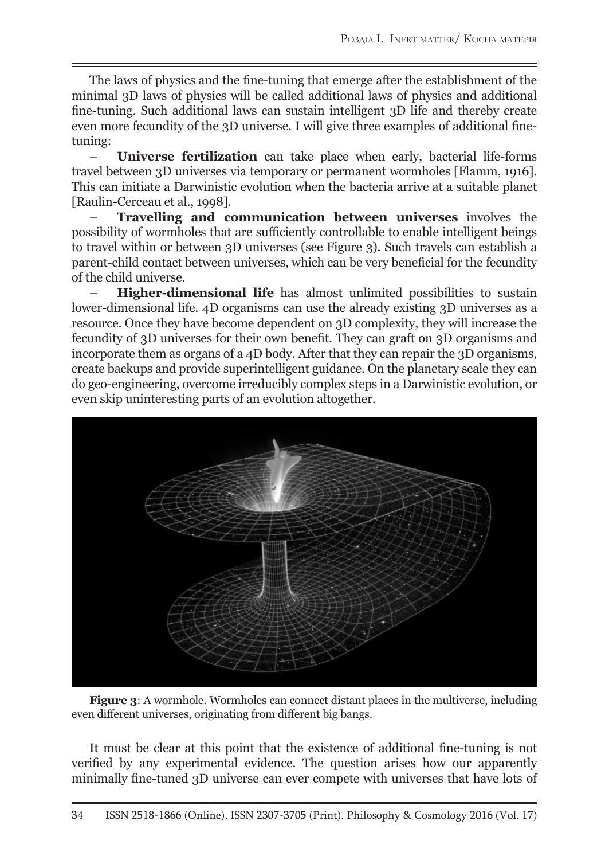The laws of physics and the fine-tuning that emerge after the establishment of the minimal 3D laws of physics will be called additional laws of physics and additional fine-tuning. Such additional laws can sustain intelligent 3D life and thereby create even more fecundity of the 3D universe. I will give three examples of additional finetuning:

– **Universe fertilization** can take place when early, bacterial life-forms travel between 3D universes via temporary or permanent wormholes [Flamm, 1916]. This can initiate a Darwinistic evolution when the bacteria arrive at a suitable planet [Raulin-Cerceau et al., 1998].

– **Travelling and communication between universes** involves the possibility of wormholes that are sufficiently controllable to enable intelligent beings to travel within or between 3D universes (see Figure 3). Such travels can establish a parent-child contact between universes, which can be very beneficial for the fecundity of the child universe.

– **Higher-dimensional life** has almost unlimited possibilities to sustain lower-dimensional life. 4D organisms can use the already existing 3D universes as a resource. Once they have become dependent on 3D complexity, they will increase the fecundity of 3D universes for their own benefit. They can graft on 3D organisms and incorporate them as organs of a 4D body. After that they can repair the 3D organisms, create backups and provide superintelligent guidance. On the planetary scale they can do geo-engineering, overcome irreducibly complex steps in a Darwinistic evolution, or even skip uninteresting parts of an evolution altogether.



**Figure 3**: A wormhole. Wormholes can connect distant places in the multiverse, including even different universes, originating from different big bangs.

It must be clear at this point that the existence of additional fine-tuning is not verified by any experimental evidence. The question arises how our apparently minimally fine-tuned 3D universe can ever compete with universes that have lots of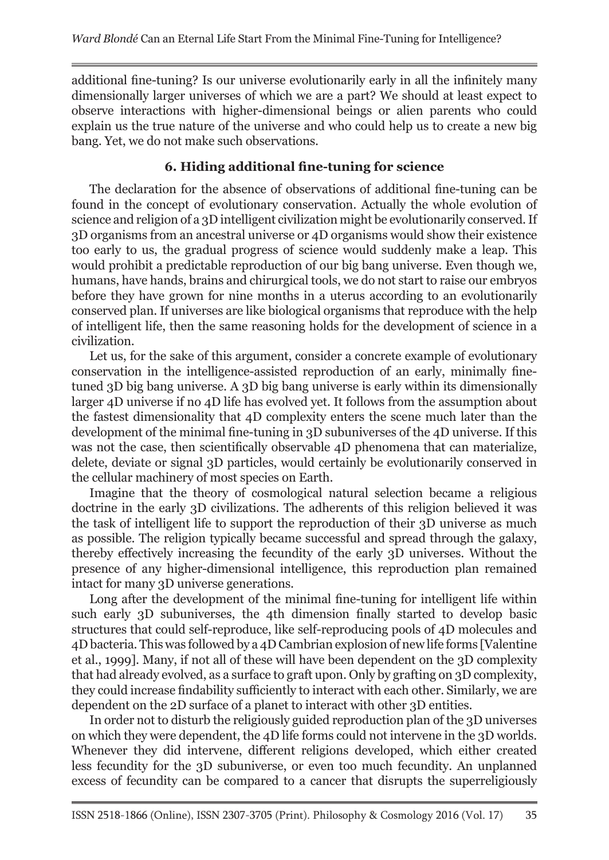additional fine-tuning? Is our universe evolutionarily early in all the infinitely many dimensionally larger universes of which we are a part? We should at least expect to observe interactions with higher-dimensional beings or alien parents who could explain us the true nature of the universe and who could help us to create a new big bang. Yet, we do not make such observations.

# **6. Hiding additional fine-tuning for science**

The declaration for the absence of observations of additional fine-tuning can be found in the concept of evolutionary conservation. Actually the whole evolution of science and religion of a 3D intelligent civilization might be evolutionarily conserved. If 3D organisms from an ancestral universe or 4D organisms would show their existence too early to us, the gradual progress of science would suddenly make a leap. This would prohibit a predictable reproduction of our big bang universe. Even though we, humans, have hands, brains and chirurgical tools, we do not start to raise our embryos before they have grown for nine months in a uterus according to an evolutionarily conserved plan. If universes are like biological organisms that reproduce with the help of intelligent life, then the same reasoning holds for the development of science in a civilization.

Let us, for the sake of this argument, consider a concrete example of evolutionary conservation in the intelligence-assisted reproduction of an early, minimally finetuned 3D big bang universe. A 3D big bang universe is early within its dimensionally larger 4D universe if no 4D life has evolved yet. It follows from the assumption about the fastest dimensionality that 4D complexity enters the scene much later than the development of the minimal fine-tuning in 3D subuniverses of the 4D universe. If this was not the case, then scientifically observable 4D phenomena that can materialize, delete, deviate or signal 3D particles, would certainly be evolutionarily conserved in the cellular machinery of most species on Earth.

Imagine that the theory of cosmological natural selection became a religious doctrine in the early 3D civilizations. The adherents of this religion believed it was the task of intelligent life to support the reproduction of their 3D universe as much as possible. The religion typically became successful and spread through the galaxy, thereby effectively increasing the fecundity of the early 3D universes. Without the presence of any higher-dimensional intelligence, this reproduction plan remained intact for many 3D universe generations.

Long after the development of the minimal fine-tuning for intelligent life within such early 3D subuniverses, the 4th dimension finally started to develop basic structures that could self-reproduce, like self-reproducing pools of 4D molecules and 4D bacteria. This was followed by a 4D Cambrian explosion of new life forms [Valentine et al., 1999]. Many, if not all of these will have been dependent on the 3D complexity that had already evolved, as a surface to graft upon. Only by grafting on 3D complexity, they could increase findability sufficiently to interact with each other. Similarly, we are dependent on the 2D surface of a planet to interact with other 3D entities.

In order not to disturb the religiously guided reproduction plan of the 3D universes on which they were dependent, the 4D life forms could not intervene in the 3D worlds. Whenever they did intervene, different religions developed, which either created less fecundity for the 3D subuniverse, or even too much fecundity. An unplanned excess of fecundity can be compared to a cancer that disrupts the superreligiously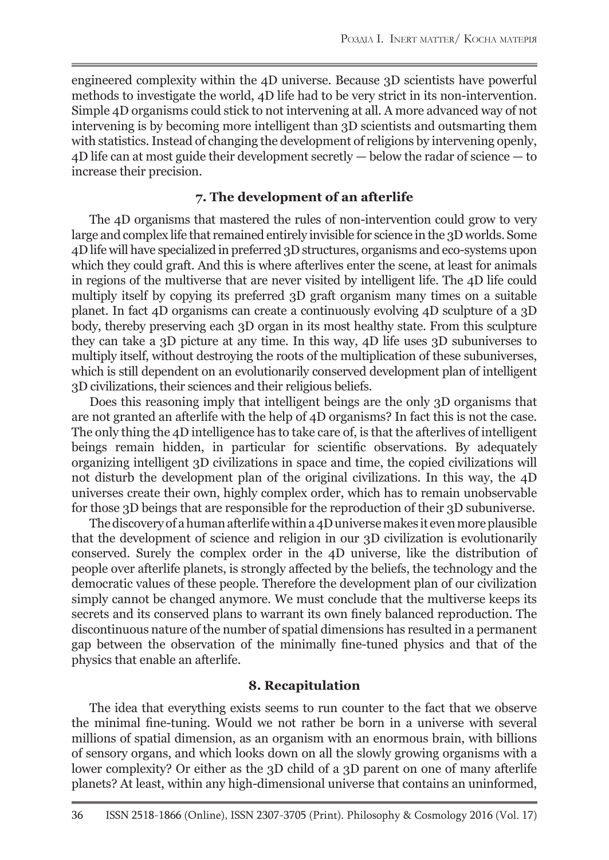engineered complexity within the 4D universe. Because 3D scientists have powerful methods to investigate the world, 4D life had to be very strict in its non-intervention. Simple 4D organisms could stick to not intervening at all. A more advanced way of not intervening is by becoming more intelligent than 3D scientists and outsmarting them with statistics. Instead of changing the development of religions by intervening openly, 4D life can at most guide their development secretly — below the radar of science — to increase their precision.

## **7. The development of an afterlife**

The 4D organisms that mastered the rules of non-intervention could grow to very large and complex life that remained entirely invisible for science in the 3D worlds. Some 4D life will have specialized in preferred 3D structures, organisms and eco-systems upon which they could graft. And this is where afterlives enter the scene, at least for animals in regions of the multiverse that are never visited by intelligent life. The 4D life could multiply itself by copying its preferred 3D graft organism many times on a suitable planet. In fact 4D organisms can create a continuously evolving 4D sculpture of a 3D body, thereby preserving each 3D organ in its most healthy state. From this sculpture they can take a 3D picture at any time. In this way, 4D life uses 3D subuniverses to multiply itself, without destroying the roots of the multiplication of these subuniverses, which is still dependent on an evolutionarily conserved development plan of intelligent 3D civilizations, their sciences and their religious beliefs.

Does this reasoning imply that intelligent beings are the only 3D organisms that are not granted an afterlife with the help of 4D organisms? In fact this is not the case. The only thing the 4D intelligence has to take care of, is that the afterlives of intelligent beings remain hidden, in particular for scientific observations. By adequately organizing intelligent 3D civilizations in space and time, the copied civilizations will not disturb the development plan of the original civilizations. In this way, the 4D universes create their own, highly complex order, which has to remain unobservable for those 3D beings that are responsible for the reproduction of their 3D subuniverse.

The discovery of a human afterlife within a 4D universe makes it even more plausible that the development of science and religion in our 3D civilization is evolutionarily conserved. Surely the complex order in the 4D universe, like the distribution of people over afterlife planets, is strongly affected by the beliefs, the technology and the democratic values of these people. Therefore the development plan of our civilization simply cannot be changed anymore. We must conclude that the multiverse keeps its secrets and its conserved plans to warrant its own finely balanced reproduction. The discontinuous nature of the number of spatial dimensions has resulted in a permanent gap between the observation of the minimally fine-tuned physics and that of the physics that enable an afterlife.

#### **8. Recapitulation**

The idea that everything exists seems to run counter to the fact that we observe the minimal fine-tuning. Would we not rather be born in a universe with several millions of spatial dimension, as an organism with an enormous brain, with billions of sensory organs, and which looks down on all the slowly growing organisms with a lower complexity? Or either as the 3D child of a 3D parent on one of many afterlife planets? At least, within any high-dimensional universe that contains an uninformed,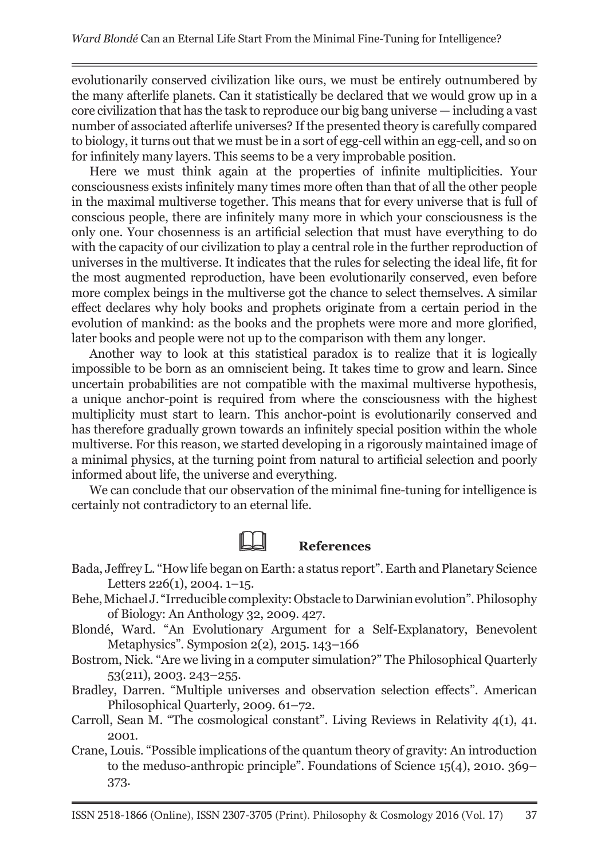evolutionarily conserved civilization like ours, we must be entirely outnumbered by the many afterlife planets. Can it statistically be declared that we would grow up in a core civilization that has the task to reproduce our big bang universe — including a vast number of associated afterlife universes? If the presented theory is carefully compared to biology, it turns out that we must be in a sort of egg-cell within an egg-cell, and so on for infinitely many layers. This seems to be a very improbable position.

Here we must think again at the properties of infinite multiplicities. Your consciousness exists infinitely many times more often than that of all the other people in the maximal multiverse together. This means that for every universe that is full of conscious people, there are infinitely many more in which your consciousness is the only one. Your chosenness is an artificial selection that must have everything to do with the capacity of our civilization to play a central role in the further reproduction of universes in the multiverse. It indicates that the rules for selecting the ideal life, fit for the most augmented reproduction, have been evolutionarily conserved, even before more complex beings in the multiverse got the chance to select themselves. A similar effect declares why holy books and prophets originate from a certain period in the evolution of mankind: as the books and the prophets were more and more glorified, later books and people were not up to the comparison with them any longer.

Another way to look at this statistical paradox is to realize that it is logically impossible to be born as an omniscient being. It takes time to grow and learn. Since uncertain probabilities are not compatible with the maximal multiverse hypothesis, a unique anchor-point is required from where the consciousness with the highest multiplicity must start to learn. This anchor-point is evolutionarily conserved and has therefore gradually grown towards an infinitely special position within the whole multiverse. For this reason, we started developing in a rigorously maintained image of a minimal physics, at the turning point from natural to artificial selection and poorly informed about life, the universe and everything.

We can conclude that our observation of the minimal fine-tuning for intelligence is certainly not contradictory to an eternal life.

# & **References**

- Bada, Jeffrey L. "How life began on Earth: a status report". Earth and Planetary Science Letters 226(1), 2004. 1–15.
- Behe, Michael J. "Irreducible complexity: Obstacle to Darwinian evolution". Philosophy of Biology: An Anthology 32, 2009. 427.
- Blondé, Ward. "An Evolutionary Argument for a Self-Explanatory, Benevolent Metaphysics". Symposion 2(2), 2015. 143–166
- Bostrom, Nick. "Are we living in a computer simulation?" The Philosophical Quarterly 53(211), 2003. 243–255.
- Bradley, Darren. "Multiple universes and observation selection effects". American Philosophical Quarterly, 2009. 61–72.
- Carroll, Sean M. "The cosmological constant". Living Reviews in Relativity 4(1), 41. 2001.
- Crane, Louis. "Possible implications of the quantum theory of gravity: An introduction to the meduso-anthropic principle". Foundations of Science 15(4), 2010. 369– 373.